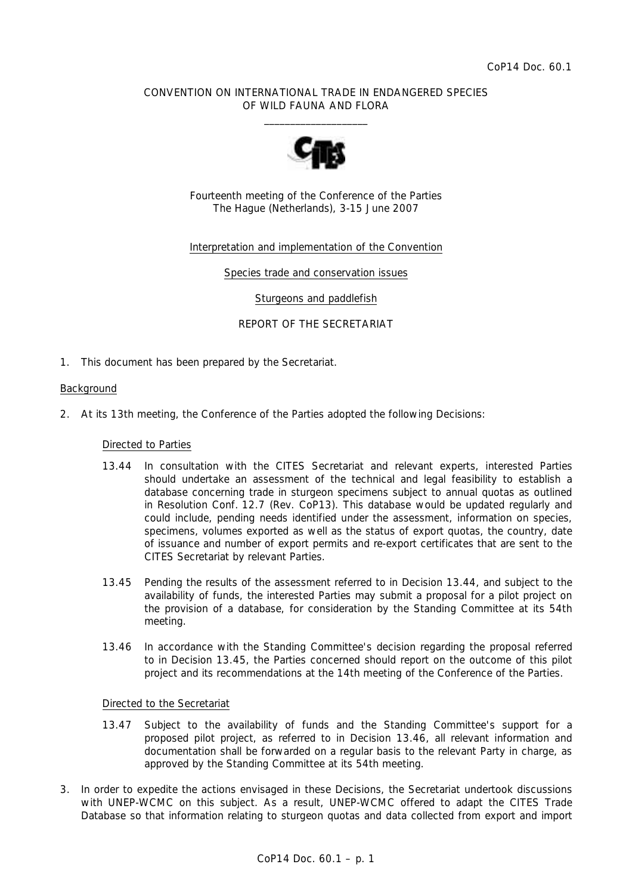# CONVENTION ON INTERNATIONAL TRADE IN ENDANGERED SPECIES OF WILD FAUNA AND FLORA  $\overline{\phantom{a}}$  , and the set of the set of the set of the set of the set of the set of the set of the set of the set of the set of the set of the set of the set of the set of the set of the set of the set of the set of the s



Fourteenth meeting of the Conference of the Parties The Hague (Netherlands), 3-15 June 2007

# Interpretation and implementation of the Convention

Species trade and conservation issues

Sturgeons and paddlefish

REPORT OF THE SECRETARIAT

1. This document has been prepared by the Secretariat.

# Background

2. At its 13th meeting, the Conference of the Parties adopted the following Decisions:

### *Directed to Parties*

- *13.44 In consultation with the CITES Secretariat and relevant experts, interested Parties should undertake an assessment of the technical and legal feasibility to establish a database concerning trade in sturgeon specimens subject to annual quotas as outlined in Resolution Conf. 12.7 (Rev. CoP13). This database would be updated regularly and could include, pending needs identified under the assessment, information on species, specimens, volumes exported as well as the status of export quotas, the country, date of issuance and number of export permits and re-export certificates that are sent to the CITES Secretariat by relevant Parties.*
- *13.45 Pending the results of the assessment referred to in Decision 13.44, and subject to the availability of funds, the interested Parties may submit a proposal for a pilot project on the provision of a database, for consideration by the Standing Committee at its 54th meeting.*
- *13.46 In accordance with the Standing Committee's decision regarding the proposal referred to in Decision 13.45, the Parties concerned should report on the outcome of this pilot project and its recommendations at the 14th meeting of the Conference of the Parties.*

### *Directed to the Secretariat*

- *13.47 Subject to the availability of funds and the Standing Committee's support for a proposed pilot project, as referred to in Decision 13.46, all relevant information and documentation shall be forwarded on a regular basis to the relevant Party in charge, as approved by the Standing Committee at its 54th meeting.*
- 3. In order to expedite the actions envisaged in these Decisions, the Secretariat undertook discussions with UNEP-WCMC on this subject. As a result, UNEP-WCMC offered to adapt the CITES Trade Database so that information relating to sturgeon quotas and data collected from export and import